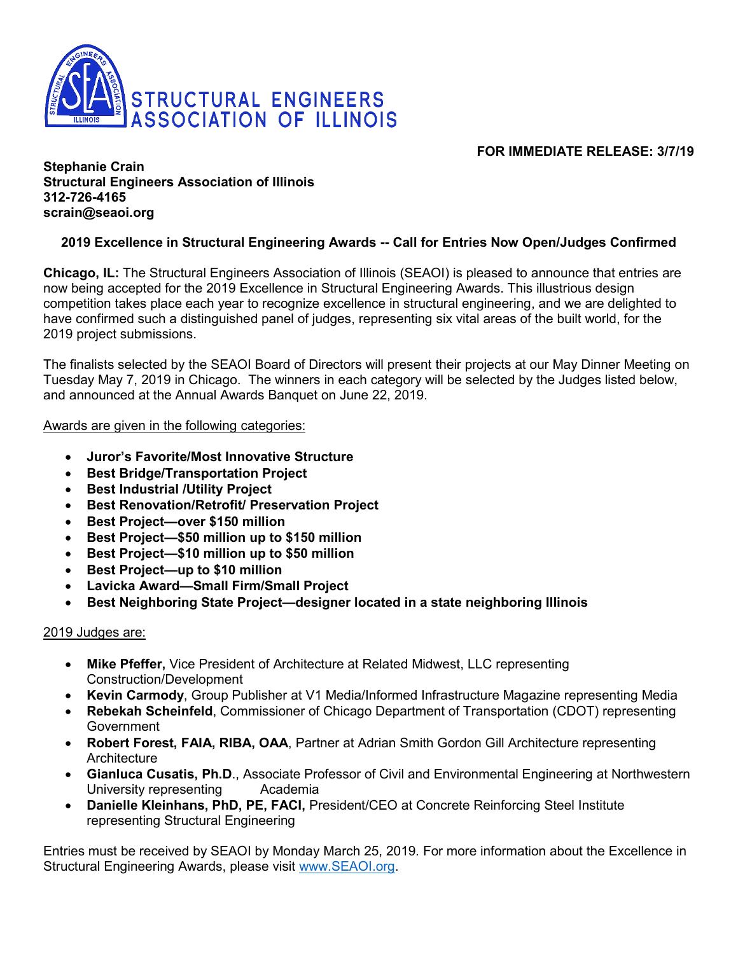

# **FOR IMMEDIATE RELEASE: 3/7/19**

### **Stephanie Crain Structural Engineers Association of Illinois 312-726-4165 scrain@seaoi.org**

# **2019 Excellence in Structural Engineering Awards -- Call for Entries Now Open/Judges Confirmed**

**Chicago, IL:** The Structural Engineers Association of Illinois (SEAOI) is pleased to announce that entries are now being accepted for the 2019 Excellence in Structural Engineering Awards. This illustrious design competition takes place each year to recognize excellence in structural engineering, and we are delighted to have confirmed such a distinguished panel of judges, representing six vital areas of the built world, for the 2019 project submissions.

The finalists selected by the SEAOI Board of Directors will present their projects at our May Dinner Meeting on Tuesday May 7, 2019 in Chicago. The winners in each category will be selected by the Judges listed below, and announced at the Annual Awards Banquet on June 22, 2019.

#### Awards are given in the following categories:

- **Juror's Favorite/Most Innovative Structure**
- **Best Bridge/Transportation Project**
- **Best Industrial /Utility Project**
- **Best Renovation/Retrofit/ Preservation Project**
- **Best Project—over \$150 million**
- **Best Project—\$50 million up to \$150 million**
- **Best Project—\$10 million up to \$50 million**
- **Best Project—up to \$10 million**
- **Lavicka Award—Small Firm/Small Project**
- **Best Neighboring State Project—designer located in a state neighboring Illinois**

### 2019 Judges are:

- **Mike Pfeffer,** Vice President of Architecture at Related Midwest, LLC representing Construction/Development
- **Kevin Carmody**, Group Publisher at V1 Media/Informed Infrastructure Magazine representing Media
- **Rebekah Scheinfeld**, Commissioner of Chicago Department of Transportation (CDOT) representing **Government**
- **Robert Forest, FAIA, RIBA, OAA**, Partner at Adrian Smith Gordon Gill Architecture representing **Architecture**
- **Gianluca Cusatis, Ph.D**., Associate Professor of Civil and Environmental Engineering at Northwestern University representing Academia
- **Danielle Kleinhans, PhD, PE, FACI,** President/CEO at Concrete Reinforcing Steel Institute representing Structural Engineering

Entries must be received by SEAOI by Monday March 25, 2019. For more information about the Excellence in Structural Engineering Awards, please visit [www.SEAOI.org.](http://www.seaoi.org/)